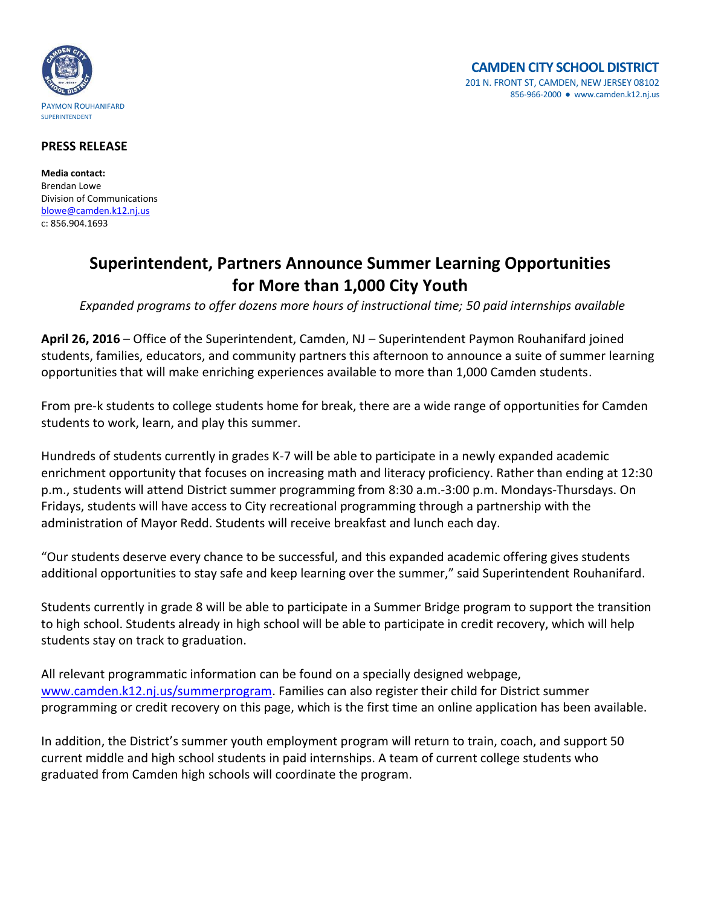

## **PRESS RELEASE**

**Media contact:** Brendan Lowe Division of Communications [blowe@camden.k12.nj.us](mailto:blowe@camden.k12.nj.us) c: 856.904.1693

## **Superintendent, Partners Announce Summer Learning Opportunities for More than 1,000 City Youth**

*Expanded programs to offer dozens more hours of instructional time; 50 paid internships available*

**April 26, 2016** – Office of the Superintendent, Camden, NJ – Superintendent Paymon Rouhanifard joined students, families, educators, and community partners this afternoon to announce a suite of summer learning opportunities that will make enriching experiences available to more than 1,000 Camden students.

From pre-k students to college students home for break, there are a wide range of opportunities for Camden students to work, learn, and play this summer.

Hundreds of students currently in grades K-7 will be able to participate in a newly expanded academic enrichment opportunity that focuses on increasing math and literacy proficiency. Rather than ending at 12:30 p.m., students will attend District summer programming from 8:30 a.m.-3:00 p.m. Mondays-Thursdays. On Fridays, students will have access to City recreational programming through a partnership with the administration of Mayor Redd. Students will receive breakfast and lunch each day.

"Our students deserve every chance to be successful, and this expanded academic offering gives students additional opportunities to stay safe and keep learning over the summer," said Superintendent Rouhanifard.

Students currently in grade 8 will be able to participate in a Summer Bridge program to support the transition to high school. Students already in high school will be able to participate in credit recovery, which will help students stay on track to graduation.

All relevant programmatic information can be found on a specially designed webpage, [www.camden.k12.nj.us/summerprogram.](http://www.camden.k12.nj.us/summerprogram) Families can also register their child for District summer programming or credit recovery on this page, which is the first time an online application has been available.

In addition, the District's summer youth employment program will return to train, coach, and support 50 current middle and high school students in paid internships. A team of current college students who graduated from Camden high schools will coordinate the program.